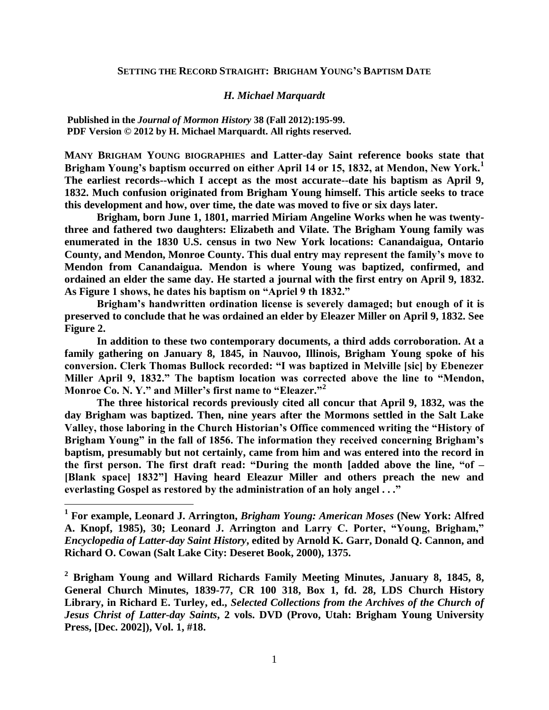## **SETTING THE RECORD STRAIGHT: BRIGHAM YOUNG'S BAPTISM DATE**

## *H. Michael Marquardt*

**Published in the** *Journal of Mormon History* **38 (Fall 2012):195-99. PDF Version © 2012 by H. Michael Marquardt. All rights reserved.**

**MANY BRIGHAM YOUNG BIOGRAPHIES and Latter-day Saint reference books state that Brigham Young's baptism occurred on either April 14 or 15, 1832, at Mendon, New York.<sup>1</sup> The earliest records--which I accept as the most accurate--date his baptism as April 9, 1832. Much confusion originated from Brigham Young himself. This article seeks to trace this development and how, over time, the date was moved to five or six days later.**

**Brigham, born June 1, 1801, married Miriam Angeline Works when he was twentythree and fathered two daughters: Elizabeth and Vilate. The Brigham Young family was enumerated in the 1830 U.S. census in two New York locations: Canandaigua, Ontario County, and Mendon, Monroe County. This dual entry may represent the family's move to Mendon from Canandaigua. Mendon is where Young was baptized, confirmed, and ordained an elder the same day. He started a journal with the first entry on April 9, 1832. As Figure 1 shows, he dates his baptism on "Apriel 9 th 1832."**

**Brigham's handwritten ordination license is severely damaged; but enough of it is preserved to conclude that he was ordained an elder by Eleazer Miller on April 9, 1832. See Figure 2.**

**In addition to these two contemporary documents, a third adds corroboration. At a family gathering on January 8, 1845, in Nauvoo, Illinois, Brigham Young spoke of his conversion. Clerk Thomas Bullock recorded: "I was baptized in Melville [sic] by Ebenezer Miller April 9, 1832." The baptism location was corrected above the line to "Mendon, Monroe Co. N. Y." and Miller's first name to "Eleazer."<sup>2</sup>**

**The three historical records previously cited all concur that April 9, 1832, was the day Brigham was baptized. Then, nine years after the Mormons settled in the Salt Lake Valley, those laboring in the Church Historian's Office commenced writing the "History of Brigham Young" in the fall of 1856. The information they received concerning Brigham's baptism, presumably but not certainly, came from him and was entered into the record in the first person. The first draft read: "During the month [added above the line, "of – [Blank space] 1832"] Having heard Eleazur Miller and others preach the new and everlasting Gospel as restored by the administration of an holy angel . . ."** 

 **1 For example, Leonard J. Arrington,** *Brigham Young: American Moses* **(New York: Alfred A. Knopf, 1985), 30; Leonard J. Arrington and Larry C. Porter, "Young, Brigham,"**  *Encyclopedia of Latter-day Saint History***, edited by Arnold K. Garr, Donald Q. Cannon, and Richard O. Cowan (Salt Lake City: Deseret Book, 2000), 1375.**

**<sup>2</sup> Brigham Young and Willard Richards Family Meeting Minutes, January 8, 1845, 8, General Church Minutes, 1839-77, CR 100 318, Box 1, fd. 28, LDS Church History Library, in Richard E. Turley, ed.,** *Selected Collections from the Archives of the Church of Jesus Christ of Latter-day Saints***, 2 vols. DVD (Provo, Utah: Brigham Young University Press, [Dec. 2002]), Vol. 1, #18.**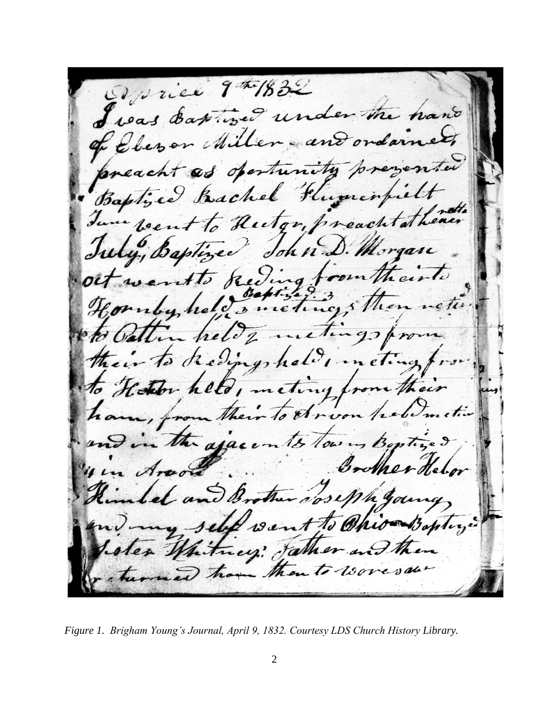Device 9th 1832 Joas Eastiged under the hand ever Miller - and ordan eacht as opertunity prever ed Bachel Flumenfie  $b$ ap went to Hutor, preach June John. uly, Baptin Morgan Reding!  $1.02110$ u held's meting's then reter metergo hele  $\overline{z}$ to Redingsheld in  $et_{\alpha}$ to Hether held, meting from to Arvon holdmetin asacents low Jeber u Arvor  $u_{\ell}$ intel and A Noseph you self Ohionboply  $19.11$  $\mathcal{H}_{\theta}$ ey Jather and hitm en to woresal

*Figure 1. Brigham Young's Journal, April 9, 1832. Courtesy LDS Church History Library.*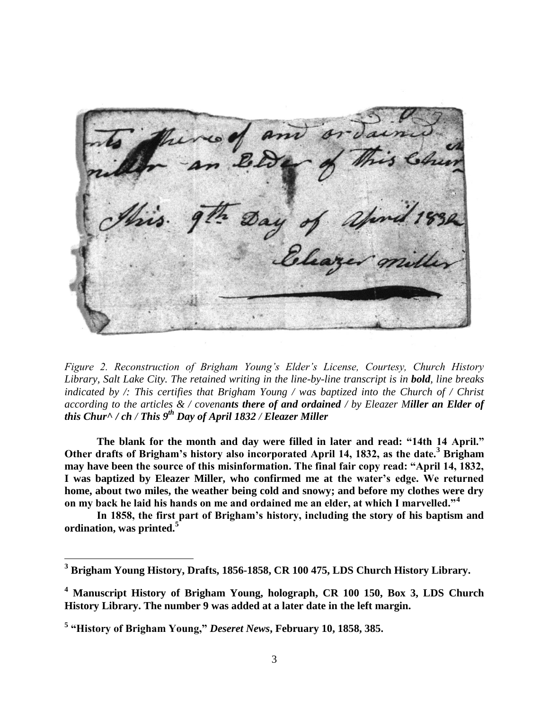

*Figure 2. Reconstruction of Brigham Young's Elder's License, Courtesy, Church History Library, Salt Lake City. The retained writing in the line-by-line transcript is in bold, line breaks indicated by /: This certifies that Brigham Young / was baptized into the Church of / Christ according to the articles & / covenants there of and ordained / by Eleazer Miller an Elder of this Chur^ / ch / This 9th Day of April 1832 / Eleazer Miller*

**The blank for the month and day were filled in later and read: "14th 14 April." Other drafts of Brigham's history also incorporated April 14, 1832, as the date.<sup>3</sup> Brigham may have been the source of this misinformation. The final fair copy read: "April 14, 1832, I was baptized by Eleazer Miller, who confirmed me at the water's edge. We returned home, about two miles, the weather being cold and snowy; and before my clothes were dry on my back he laid his hands on me and ordained me an elder, at which I marvelled."<sup>4</sup>**

**In 1858, the first part of Brigham's history, including the story of his baptism and ordination, was printed.<sup>5</sup>**

 $\overline{a}$ 

**<sup>3</sup> Brigham Young History, Drafts, 1856-1858, CR 100 475, LDS Church History Library.**

**<sup>4</sup> Manuscript History of Brigham Young, holograph, CR 100 150, Box 3, LDS Church History Library. The number 9 was added at a later date in the left margin.**

**<sup>5</sup> "History of Brigham Young,"** *Deseret News***, February 10, 1858, 385.**